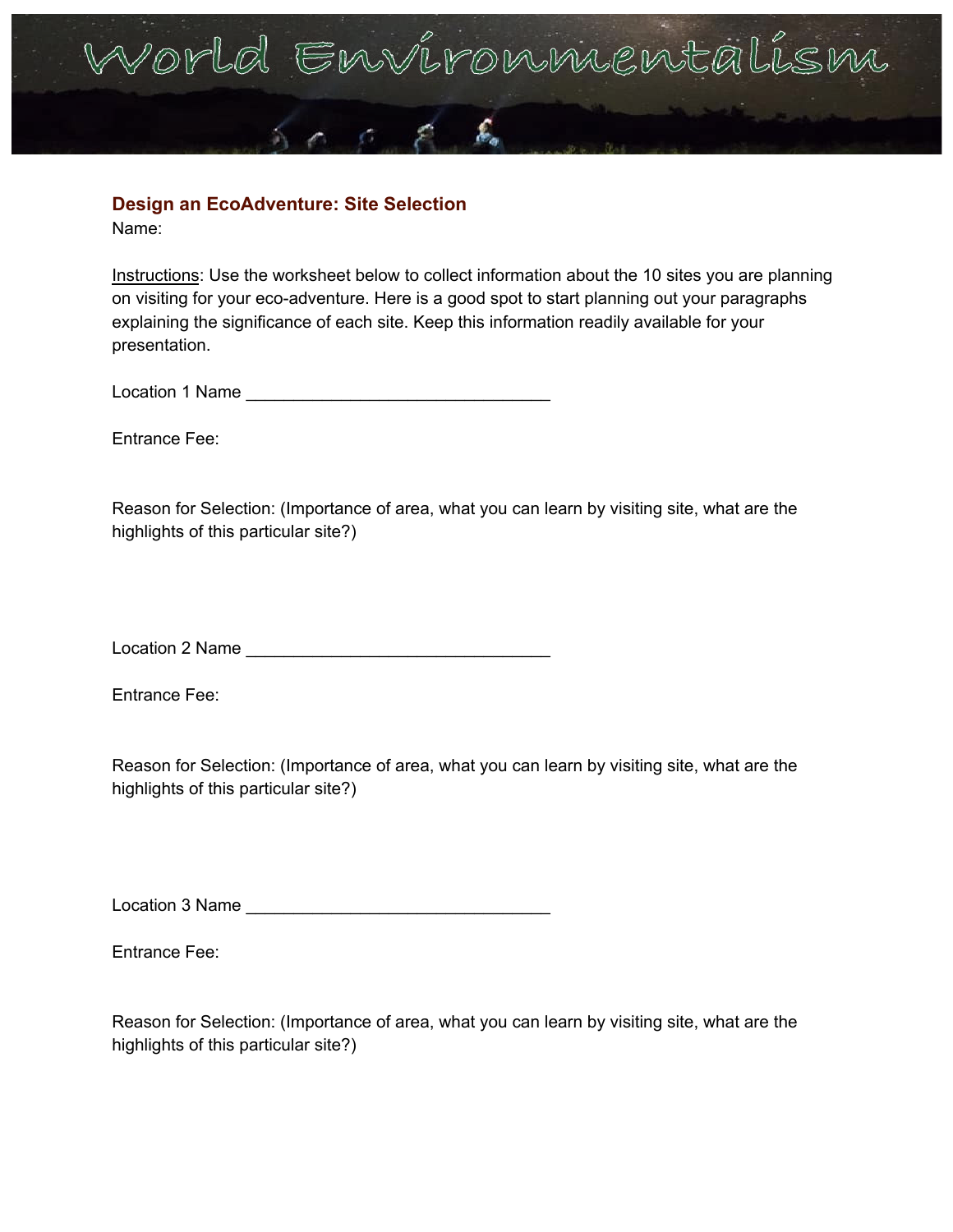

## **Design an EcoAdventure: Site Selection**

Name:

Instructions: Use the worksheet below to collect information about the 10 sites you are planning on visiting for your eco-adventure. Here is a good spot to start planning out your paragraphs explaining the significance of each site. Keep this information readily available for your presentation.

Location 1 Name

Entrance Fee:

Reason for Selection: (Importance of area, what you can learn by visiting site, what are the highlights of this particular site?)

Location 2 Name \_\_\_\_\_\_\_\_\_\_\_\_\_\_\_\_\_\_\_\_\_\_\_\_\_\_\_\_\_\_\_\_

Entrance Fee:

Reason for Selection: (Importance of area, what you can learn by visiting site, what are the highlights of this particular site?)

Location 3 Name

Entrance Fee: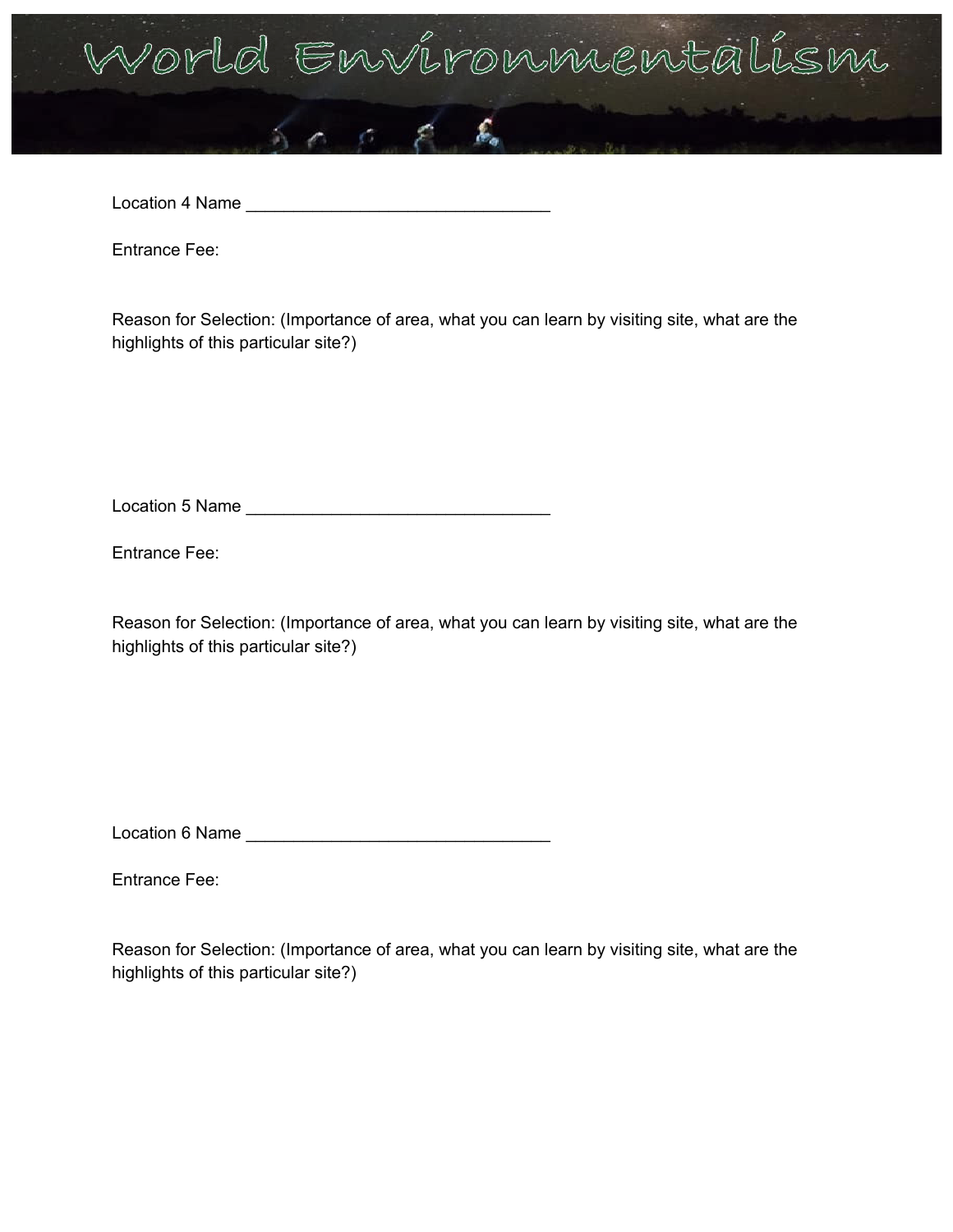

Location 4 Name \_\_\_\_\_\_\_\_\_\_\_\_\_\_\_\_\_\_\_\_\_\_\_\_\_\_\_\_\_\_\_\_

Entrance Fee:

Reason for Selection: (Importance of area, what you can learn by visiting site, what are the highlights of this particular site?)

Location 5 Name \_\_\_\_\_\_\_\_\_\_\_\_\_\_\_\_\_\_\_\_\_\_\_\_\_\_\_\_\_\_\_\_

Entrance Fee:

Reason for Selection: (Importance of area, what you can learn by visiting site, what are the highlights of this particular site?)

Location 6 Name

Entrance Fee: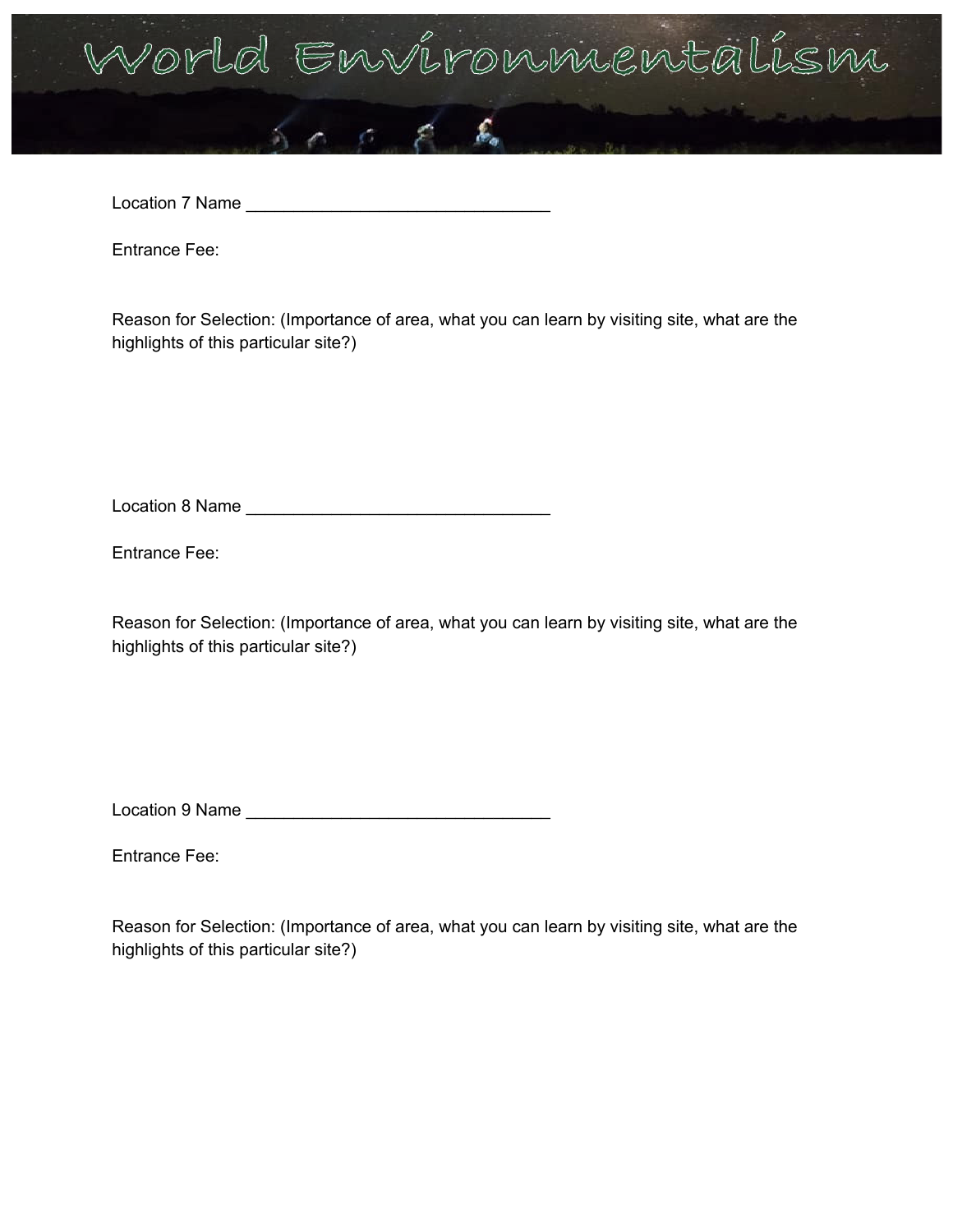

Location 7 Name \_\_\_\_\_\_\_\_\_\_\_\_\_\_\_\_\_\_\_\_\_\_\_\_\_\_\_\_\_\_\_\_

Entrance Fee:

Reason for Selection: (Importance of area, what you can learn by visiting site, what are the highlights of this particular site?)

Location 8 Name \_\_\_\_\_\_\_\_\_\_\_\_\_\_\_\_\_\_\_\_\_\_\_\_\_\_\_\_\_\_\_\_

Entrance Fee:

Reason for Selection: (Importance of area, what you can learn by visiting site, what are the highlights of this particular site?)

Location 9 Name \_\_\_\_\_\_\_\_\_\_\_\_\_\_\_\_\_\_\_\_\_\_\_\_\_\_\_\_\_\_\_\_

Entrance Fee: